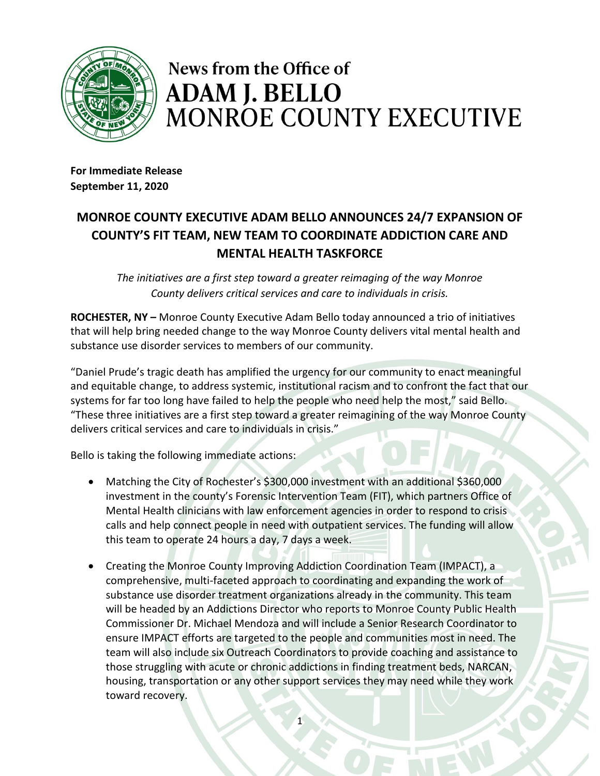

## News from the Office of **ADAM J. BELLO MONROE COUNTY EXECUTIVE**

**For Immediate Release September 11, 2020**

## **MONROE COUNTY EXECUTIVE ADAM BELLO ANNOUNCES 24/7 EXPANSION OF COUNTY'S FIT TEAM, NEW TEAM TO COORDINATE ADDICTION CARE AND MENTAL HEALTH TASKFORCE**

*The initiatives are a first step toward a greater reimaging of the way Monroe County delivers critical services and care to individuals in crisis.*

**ROCHESTER, NY –** Monroe County Executive Adam Bello today announced a trio of initiatives that will help bring needed change to the way Monroe County delivers vital mental health and substance use disorder services to members of our community.

"Daniel Prude's tragic death has amplified the urgency for our community to enact meaningful and equitable change, to address systemic, institutional racism and to confront the fact that our systems for far too long have failed to help the people who need help the most," said Bello. "These three initiatives are a first step toward a greater reimagining of the way Monroe County delivers critical services and care to individuals in crisis."

Bello is taking the following immediate actions:

- Matching the City of Rochester's \$300,000 investment with an additional \$360,000 investment in the county's Forensic Intervention Team (FIT), which partners Office of Mental Health clinicians with law enforcement agencies in order to respond to crisis calls and help connect people in need with outpatient services. The funding will allow this team to operate 24 hours a day, 7 days a week.
- Creating the Monroe County Improving Addiction Coordination Team (IMPACT), a comprehensive, multi-faceted approach to coordinating and expanding the work of substance use disorder treatment organizations already in the community. This team will be headed by an Addictions Director who reports to Monroe County Public Health Commissioner Dr. Michael Mendoza and will include a Senior Research Coordinator to ensure IMPACT efforts are targeted to the people and communities most in need. The team will also include six Outreach Coordinators to provide coaching and assistance to those struggling with acute or chronic addictions in finding treatment beds, NARCAN, housing, transportation or any other support services they may need while they work toward recovery.

1